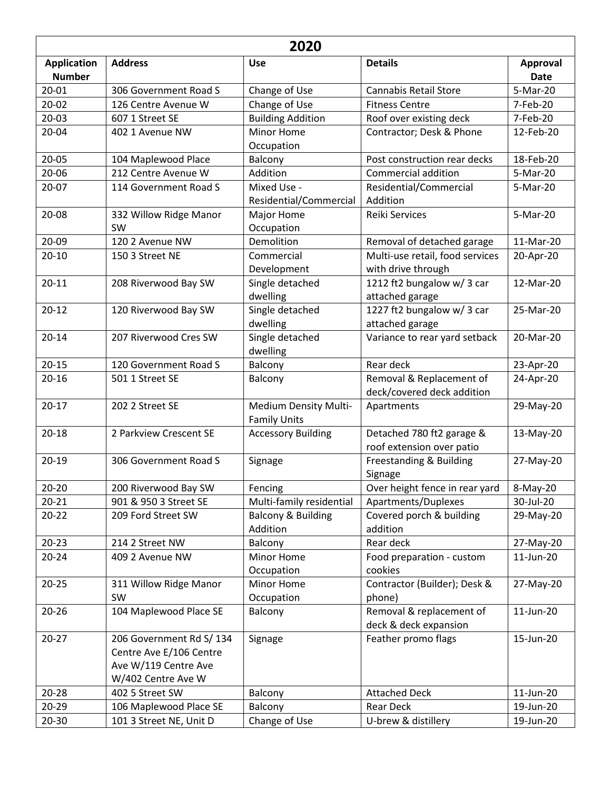| 2020                                |                                                                                                   |                                              |                                                                     |                         |  |  |  |
|-------------------------------------|---------------------------------------------------------------------------------------------------|----------------------------------------------|---------------------------------------------------------------------|-------------------------|--|--|--|
| <b>Application</b><br><b>Number</b> | <b>Address</b>                                                                                    | <b>Use</b>                                   | <b>Details</b>                                                      | Approval<br><b>Date</b> |  |  |  |
| 20-01                               | 306 Government Road S                                                                             | Change of Use                                | <b>Cannabis Retail Store</b>                                        | 5-Mar-20                |  |  |  |
| $20 - 02$                           | 126 Centre Avenue W                                                                               | Change of Use                                | <b>Fitness Centre</b>                                               | 7-Feb-20                |  |  |  |
| $20 - 03$                           | 607 1 Street SE                                                                                   | <b>Building Addition</b>                     | Roof over existing deck                                             | 7-Feb-20                |  |  |  |
| 20-04                               | 402 1 Avenue NW                                                                                   | Minor Home<br>Occupation                     | Contractor; Desk & Phone                                            | 12-Feb-20               |  |  |  |
| 20-05                               | 104 Maplewood Place                                                                               | Balcony                                      | Post construction rear decks                                        | 18-Feb-20               |  |  |  |
| 20-06                               | 212 Centre Avenue W                                                                               | Addition                                     | Commercial addition                                                 | 5-Mar-20                |  |  |  |
| 20-07                               | 114 Government Road S                                                                             | Mixed Use -<br>Residential/Commercial        | Residential/Commercial<br>Addition                                  | 5-Mar-20                |  |  |  |
| 20-08                               | 332 Willow Ridge Manor<br>SW                                                                      | Major Home<br>Occupation                     | <b>Reiki Services</b>                                               | 5-Mar-20                |  |  |  |
| 20-09                               | 120 2 Avenue NW                                                                                   | Demolition                                   | Removal of detached garage                                          | 11-Mar-20               |  |  |  |
| $20 - 10$                           | 150 3 Street NE                                                                                   | Commercial                                   | Multi-use retail, food services                                     | 20-Apr-20               |  |  |  |
| $20 - 11$                           | 208 Riverwood Bay SW                                                                              | Development<br>Single detached<br>dwelling   | with drive through<br>1212 ft2 bungalow w/ 3 car<br>attached garage | 12-Mar-20               |  |  |  |
| $20 - 12$                           | 120 Riverwood Bay SW                                                                              | Single detached<br>dwelling                  | 1227 ft2 bungalow w/3 car<br>attached garage                        | 25-Mar-20               |  |  |  |
| $20 - 14$                           | 207 Riverwood Cres SW                                                                             | Single detached<br>dwelling                  | Variance to rear yard setback                                       | 20-Mar-20               |  |  |  |
| $20 - 15$                           | 120 Government Road S                                                                             | Balcony                                      | Rear deck                                                           | 23-Apr-20               |  |  |  |
| $20 - 16$                           | 501 1 Street SE                                                                                   | Balcony                                      | Removal & Replacement of<br>deck/covered deck addition              | 24-Apr-20               |  |  |  |
| $20 - 17$                           | 202 2 Street SE                                                                                   | Medium Density Multi-<br><b>Family Units</b> | Apartments                                                          | 29-May-20               |  |  |  |
| $20 - 18$                           | 2 Parkview Crescent SE                                                                            | <b>Accessory Building</b>                    | Detached 780 ft2 garage &<br>roof extension over patio              | 13-May-20               |  |  |  |
| $20 - 19$                           | 306 Government Road S                                                                             | Signage                                      | Freestanding & Building<br>Signage                                  | 27-May-20               |  |  |  |
| $20 - 20$                           | 200 Riverwood Bay SW                                                                              | Fencing                                      | Over height fence in rear yard                                      | 8-May-20                |  |  |  |
| $20 - 21$                           | 901 & 950 3 Street SE                                                                             | Multi-family residential                     | Apartments/Duplexes                                                 | 30-Jul-20               |  |  |  |
| $20 - 22$                           | 209 Ford Street SW                                                                                | <b>Balcony &amp; Building</b><br>Addition    | Covered porch & building<br>addition                                | 29-May-20               |  |  |  |
| $20 - 23$                           | 214 2 Street NW                                                                                   | Balcony                                      | Rear deck                                                           | 27-May-20               |  |  |  |
| $20 - 24$                           | 409 2 Avenue NW                                                                                   | Minor Home<br>Occupation                     | Food preparation - custom<br>cookies                                | 11-Jun-20               |  |  |  |
| $20 - 25$                           | 311 Willow Ridge Manor<br>SW                                                                      | Minor Home<br>Occupation                     | Contractor (Builder); Desk &<br>phone)                              | 27-May-20               |  |  |  |
| $20 - 26$                           | 104 Maplewood Place SE                                                                            | Balcony                                      | Removal & replacement of<br>deck & deck expansion                   | 11-Jun-20               |  |  |  |
| $20 - 27$                           | 206 Government Rd S/ 134<br>Centre Ave E/106 Centre<br>Ave W/119 Centre Ave<br>W/402 Centre Ave W | Signage                                      | Feather promo flags                                                 | 15-Jun-20               |  |  |  |
| $20 - 28$                           | 402 5 Street SW                                                                                   | Balcony                                      | <b>Attached Deck</b>                                                | 11-Jun-20               |  |  |  |
| $20 - 29$                           | 106 Maplewood Place SE                                                                            | Balcony                                      | <b>Rear Deck</b>                                                    | 19-Jun-20               |  |  |  |
| $20 - 30$                           | 101 3 Street NE, Unit D                                                                           | Change of Use                                | U-brew & distillery                                                 | 19-Jun-20               |  |  |  |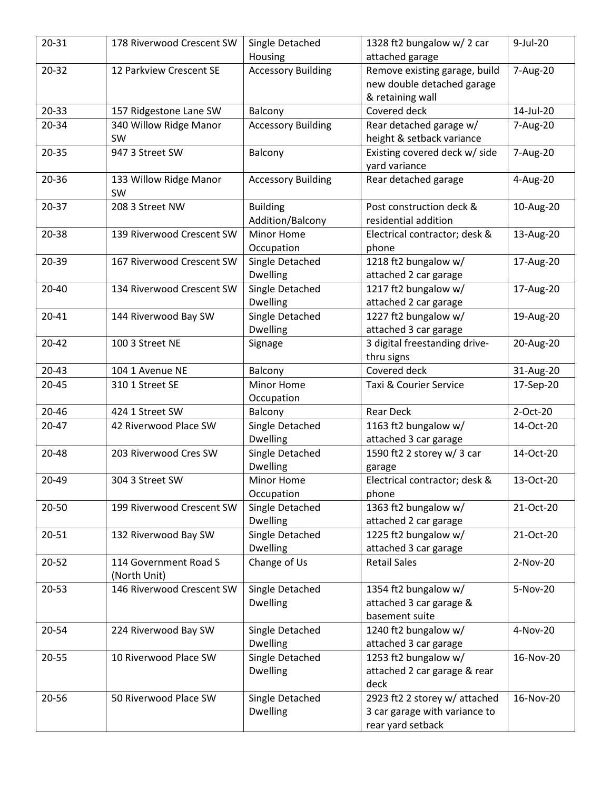| $20 - 31$ | 178 Riverwood Crescent SW | Single Detached           | 1328 ft2 bungalow w/2 car     | 9-Jul-20  |
|-----------|---------------------------|---------------------------|-------------------------------|-----------|
|           |                           | Housing                   | attached garage               |           |
| $20 - 32$ | 12 Parkview Crescent SE   | <b>Accessory Building</b> | Remove existing garage, build | 7-Aug-20  |
|           |                           |                           | new double detached garage    |           |
|           |                           |                           | & retaining wall              |           |
| $20 - 33$ | 157 Ridgestone Lane SW    | Balcony                   | Covered deck                  | 14-Jul-20 |
| 20-34     | 340 Willow Ridge Manor    | <b>Accessory Building</b> | Rear detached garage w/       | 7-Aug-20  |
|           | <b>SW</b>                 |                           | height & setback variance     |           |
| $20 - 35$ | 947 3 Street SW           | Balcony                   | Existing covered deck w/ side | 7-Aug-20  |
|           |                           |                           | yard variance                 |           |
| 20-36     | 133 Willow Ridge Manor    | <b>Accessory Building</b> | Rear detached garage          | 4-Aug-20  |
|           | SW                        |                           |                               |           |
| 20-37     | 208 3 Street NW           | <b>Building</b>           | Post construction deck &      | 10-Aug-20 |
|           |                           | Addition/Balcony          | residential addition          |           |
| 20-38     | 139 Riverwood Crescent SW | Minor Home                | Electrical contractor; desk & | 13-Aug-20 |
|           |                           | Occupation                | phone                         |           |
| 20-39     | 167 Riverwood Crescent SW | Single Detached           | 1218 ft2 bungalow w/          | 17-Aug-20 |
|           |                           | <b>Dwelling</b>           | attached 2 car garage         |           |
| 20-40     | 134 Riverwood Crescent SW | Single Detached           | 1217 ft2 bungalow w/          | 17-Aug-20 |
|           |                           | Dwelling                  | attached 2 car garage         |           |
| $20 - 41$ | 144 Riverwood Bay SW      | Single Detached           | 1227 ft2 bungalow w/          | 19-Aug-20 |
|           |                           | <b>Dwelling</b>           | attached 3 car garage         |           |
| $20 - 42$ | 100 3 Street NE           | Signage                   | 3 digital freestanding drive- | 20-Aug-20 |
|           |                           |                           | thru signs                    |           |
| $20 - 43$ | 104 1 Avenue NE           | Balcony                   | Covered deck                  | 31-Aug-20 |
| $20 - 45$ | 310 1 Street SE           | Minor Home                | Taxi & Courier Service        | 17-Sep-20 |
|           |                           | Occupation                |                               |           |
| 20-46     | 424 1 Street SW           | Balcony                   | <b>Rear Deck</b>              | 2-Oct-20  |
| $20 - 47$ | 42 Riverwood Place SW     | Single Detached           | 1163 ft2 bungalow w/          | 14-Oct-20 |
|           |                           | Dwelling                  | attached 3 car garage         |           |
| $20 - 48$ | 203 Riverwood Cres SW     | Single Detached           | 1590 ft2 2 storey w/ 3 car    | 14-Oct-20 |
|           |                           | <b>Dwelling</b>           | garage                        |           |
| 20-49     | 304 3 Street SW           | Minor Home                | Electrical contractor; desk & | 13-Oct-20 |
|           |                           | Occupation                | phone                         |           |
| 20-50     | 199 Riverwood Crescent SW | Single Detached           | 1363 ft2 bungalow w/          | 21-Oct-20 |
|           |                           | <b>Dwelling</b>           | attached 2 car garage         |           |
| $20 - 51$ | 132 Riverwood Bay SW      | Single Detached           | 1225 ft2 bungalow w/          | 21-Oct-20 |
|           |                           | <b>Dwelling</b>           | attached 3 car garage         |           |
| $20 - 52$ | 114 Government Road S     | Change of Us              | <b>Retail Sales</b>           | 2-Nov-20  |
|           | (North Unit)              |                           |                               |           |
| 20-53     | 146 Riverwood Crescent SW | Single Detached           | 1354 ft2 bungalow w/          | 5-Nov-20  |
|           |                           | Dwelling                  | attached 3 car garage &       |           |
|           |                           |                           | basement suite                |           |
| 20-54     | 224 Riverwood Bay SW      | Single Detached           | 1240 ft2 bungalow w/          | 4-Nov-20  |
|           |                           | Dwelling                  | attached 3 car garage         |           |
| 20-55     | 10 Riverwood Place SW     | Single Detached           | 1253 ft2 bungalow w/          | 16-Nov-20 |
|           |                           | <b>Dwelling</b>           | attached 2 car garage & rear  |           |
|           |                           |                           | deck                          |           |
| 20-56     | 50 Riverwood Place SW     | Single Detached           | 2923 ft2 2 storey w/ attached | 16-Nov-20 |
|           |                           | Dwelling                  | 3 car garage with variance to |           |
|           |                           |                           | rear yard setback             |           |